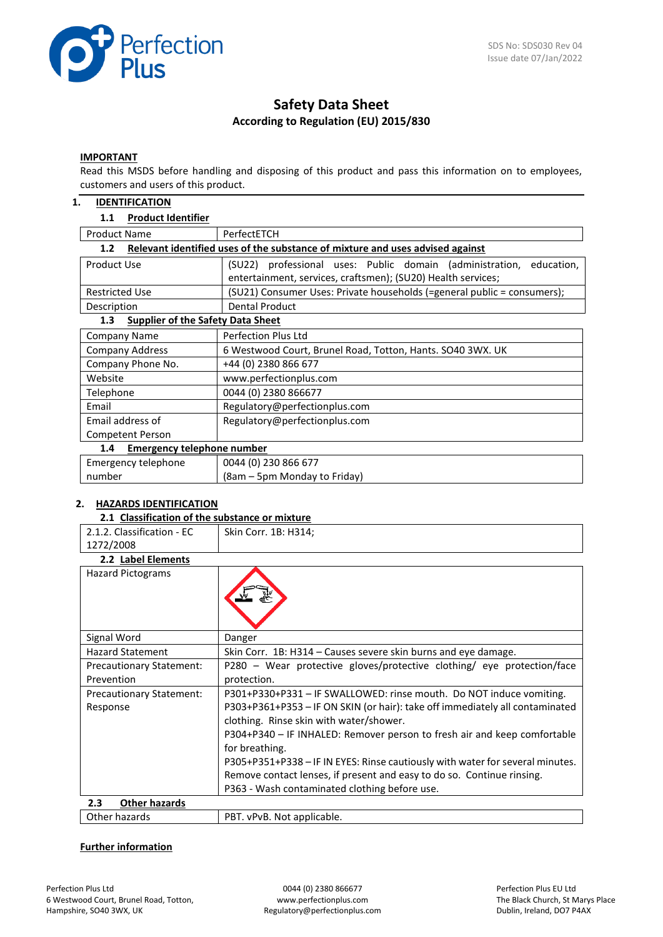

# **Safety Data Sheet According to Regulation (EU) 2015/830**

### **IMPORTANT**

Read this MSDS before handling and disposing of this product and pass this information on to employees, customers and users of this product.

#### **1. IDENTIFICATION**

### **1.1 Product Identifier**

| <b>Product Name</b>                                                                  | PerfectETCH                                                               |  |  |  |
|--------------------------------------------------------------------------------------|---------------------------------------------------------------------------|--|--|--|
| Relevant identified uses of the substance of mixture and uses advised against<br>1.2 |                                                                           |  |  |  |
| Product Use                                                                          | professional uses: Public domain (administration,<br>(SU22)<br>education, |  |  |  |
|                                                                                      | entertainment, services, craftsmen); (SU20) Health services;              |  |  |  |
| <b>Restricted Use</b>                                                                | (SU21) Consumer Uses: Private households (=general public = consumers);   |  |  |  |
| Description                                                                          | <b>Dental Product</b>                                                     |  |  |  |
| <b>Supplier of the Safety Data Sheet</b><br>1.3                                      |                                                                           |  |  |  |
| <b>Company Name</b>                                                                  | Perfection Plus Ltd                                                       |  |  |  |
| <b>Company Address</b>                                                               | 6 Westwood Court, Brunel Road, Totton, Hants. SO40 3WX. UK                |  |  |  |
| Company Phone No.                                                                    | +44 (0) 2380 866 677                                                      |  |  |  |
| Website                                                                              | www.perfectionplus.com                                                    |  |  |  |
| Telephone                                                                            | 0044 (0) 2380 866677                                                      |  |  |  |
| Email                                                                                | Regulatory@perfectionplus.com                                             |  |  |  |
| Email address of                                                                     | Regulatory@perfectionplus.com                                             |  |  |  |
| Competent Person                                                                     |                                                                           |  |  |  |
| Emergency telephone number<br>1.4                                                    |                                                                           |  |  |  |
| Emergency telephone                                                                  | 0044 (0) 230 866 677                                                      |  |  |  |
| number                                                                               | (8am – 5pm Monday to Friday)                                              |  |  |  |

# **2. HAZARDS IDENTIFICATION**

### **2.1 Classification of the substance or mixture**

| 2.1.2. Classification - EC      | Skin Corr. 1B: H314;                                                          |
|---------------------------------|-------------------------------------------------------------------------------|
| 1272/2008                       |                                                                               |
| 2.2 Label Elements              |                                                                               |
| <b>Hazard Pictograms</b>        |                                                                               |
| Signal Word                     | Danger                                                                        |
| <b>Hazard Statement</b>         | Skin Corr. 1B: H314 - Causes severe skin burns and eye damage.                |
| <b>Precautionary Statement:</b> | P280 – Wear protective gloves/protective clothing/ eye protection/face        |
| Prevention                      | protection.                                                                   |
| Precautionary Statement:        | P301+P330+P331 - IF SWALLOWED: rinse mouth. Do NOT induce vomiting.           |
| Response                        | P303+P361+P353 - IF ON SKIN (or hair): take off immediately all contaminated  |
|                                 | clothing. Rinse skin with water/shower.                                       |
|                                 | P304+P340 - IF INHALED: Remover person to fresh air and keep comfortable      |
|                                 | for breathing.                                                                |
|                                 | P305+P351+P338 - IF IN EYES: Rinse cautiously with water for several minutes. |
|                                 | Remove contact lenses, if present and easy to do so. Continue rinsing.        |
|                                 | P363 - Wash contaminated clothing before use.                                 |
| <b>Other hazards</b><br>2.3     |                                                                               |
| Other hazards                   | PBT. vPvB. Not applicable.                                                    |

# **Further information**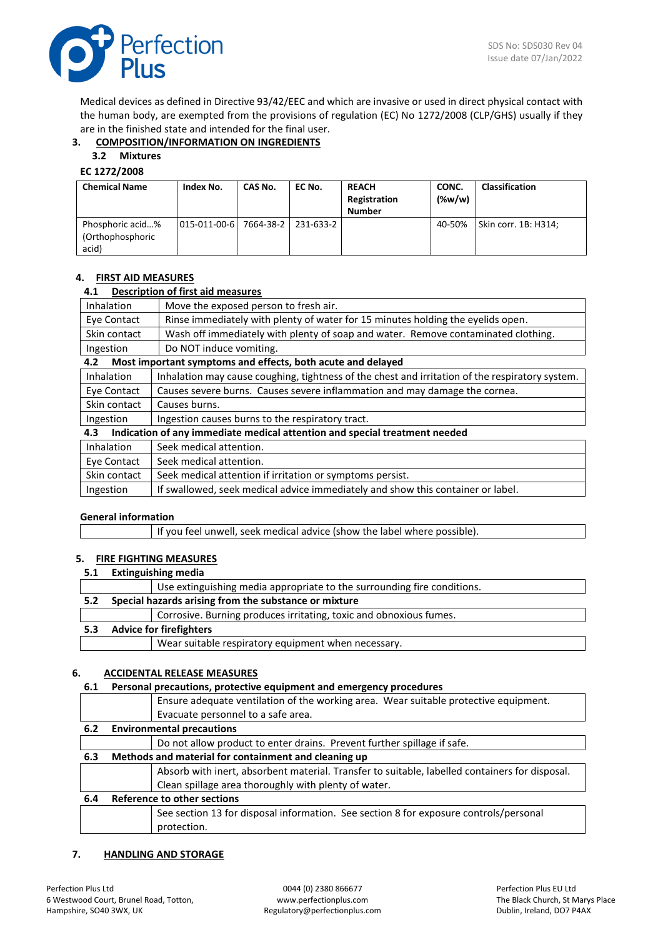

Medical devices as defined in Directive 93/42/EEC and which are invasive or used in direct physical contact with the human body, are exempted from the provisions of regulation (EC) No 1272/2008 (CLP/GHS) usually if they are in the finished state and intended for the final user.

# **3. COMPOSITION/INFORMATION ON INGREDIENTS**

# **3.2 Mixtures**

### **EC 1272/2008**

| <b>Chemical Name</b>                          | Index No.              | CAS No.   | EC No.    | <b>REACH</b><br>Registration<br><b>Number</b> | CONC.<br>$(\%w/w)$ | <b>Classification</b> |
|-----------------------------------------------|------------------------|-----------|-----------|-----------------------------------------------|--------------------|-----------------------|
| Phosphoric acid%<br>(Orthophosphoric<br>acid) | $ 015 - 011 - 00 - 6 $ | 7664-38-2 | 231-633-2 |                                               | 40-50%             | Skin corr. 1B: H314;  |

### **4. FIRST AID MEASURES**

### **4.1 Description of first aid measures**

| Inhalation                                                                                                    | Move the exposed person to fresh air.                                             |  |
|---------------------------------------------------------------------------------------------------------------|-----------------------------------------------------------------------------------|--|
| Rinse immediately with plenty of water for 15 minutes holding the eyelids open.<br>Eve Contact                |                                                                                   |  |
| Skin contact                                                                                                  | Wash off immediately with plenty of soap and water. Remove contaminated clothing. |  |
| Ingestion                                                                                                     | Do NOT induce vomiting.                                                           |  |
| Most important symptoms and effects, both acute and delayed<br>4.2                                            |                                                                                   |  |
| Inhalation<br>Inhalation may cause coughing, tightness of the chest and irritation of the respiratory system. |                                                                                   |  |

| innaidtion.                                                                       | Trindiduon may cause cougning, ugnuless of the criest and irritation of the respiratory system. |
|-----------------------------------------------------------------------------------|-------------------------------------------------------------------------------------------------|
| Eye Contact                                                                       | Causes severe burns. Causes severe inflammation and may damage the cornea.                      |
| Skin contact                                                                      | Causes burns.                                                                                   |
| Ingestion                                                                         | Ingestion causes burns to the respiratory tract.                                                |
| Indication of any immediate medical attention and special treatment needed<br>4.3 |                                                                                                 |
| Inhalation                                                                        | Seek medical attention.                                                                         |

| <b>IIIIIdidliuli</b> | SEEK INCUICAL ALLENTION.                                                        |
|----------------------|---------------------------------------------------------------------------------|
| Eve Contact          | Seek medical attention.                                                         |
| Skin contact         | Seek medical attention if irritation or symptoms persist.                       |
| Ingestion            | If swallowed, seek medical advice immediately and show this container or label. |

### **General information**

If you feel unwell, seek medical advice (show the label where possible).

# **5. FIRE FIGHTING MEASURES**

### **5.1 Extinguishing media**

| Use extinguishing media appropriate to the surrounding fire conditions. |
|-------------------------------------------------------------------------|
| Special hazards arising from the substance or mixture                   |
| Corrosive. Burning produces irritating, toxic and obnoxious fumes.      |
| <b>Advice for firefighters</b>                                          |
| Wear suitable respiratory equipment when necessary.                     |
|                                                                         |

# **6. ACCIDENTAL RELEASE MEASURES**

| Personal precautions, protective equipment and emergency procedures                            |
|------------------------------------------------------------------------------------------------|
| Ensure adequate ventilation of the working area. Wear suitable protective equipment.           |
| Evacuate personnel to a safe area.                                                             |
| <b>Environmental precautions</b>                                                               |
| Do not allow product to enter drains. Prevent further spillage if safe.                        |
| Methods and material for containment and cleaning up                                           |
| Absorb with inert, absorbent material. Transfer to suitable, labelled containers for disposal. |
| Clean spillage area thoroughly with plenty of water.                                           |
| <b>Reference to other sections</b>                                                             |
| See section 13 for disposal information. See section 8 for exposure controls/personal          |
| protection.                                                                                    |
|                                                                                                |

# **7. HANDLING AND STORAGE**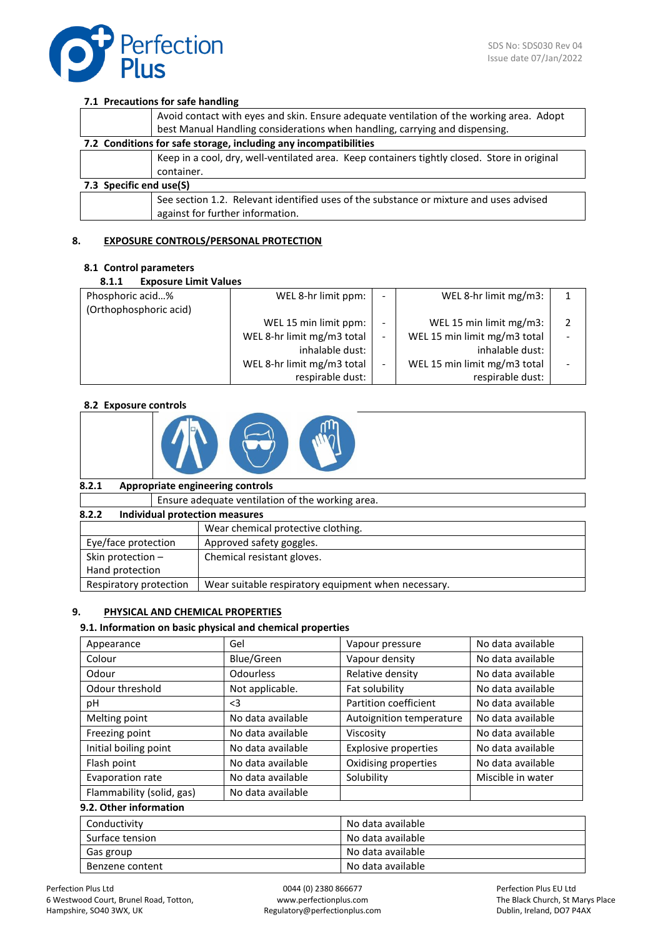

### **7.1 Precautions for safe handling**

|                                                                  | Avoid contact with eyes and skin. Ensure adequate ventilation of the working area. Adopt     |  |  |
|------------------------------------------------------------------|----------------------------------------------------------------------------------------------|--|--|
|                                                                  |                                                                                              |  |  |
|                                                                  | best Manual Handling considerations when handling, carrying and dispensing.                  |  |  |
| 7.2 Conditions for safe storage, including any incompatibilities |                                                                                              |  |  |
|                                                                  | Keep in a cool, dry, well-ventilated area. Keep containers tightly closed. Store in original |  |  |
|                                                                  | container.                                                                                   |  |  |
| 7.3 Specific end use(S)                                          |                                                                                              |  |  |
|                                                                  | See section 1.2. Relevant identified uses of the substance or mixture and uses advised       |  |  |
|                                                                  | against for further information.                                                             |  |  |

# **8. EXPOSURE CONTROLS/PERSONAL PROTECTION**

### **8.1 Control parameters**

### **8.1.1 Exposure Limit Values**

| 0.1.1<br>LADUSULE LIIIIIL VAIUES |                            |                              |  |
|----------------------------------|----------------------------|------------------------------|--|
| Phosphoric acid%                 | WEL 8-hr limit ppm:        | WEL 8-hr limit mg/m3:        |  |
| (Orthophosphoric acid)           |                            |                              |  |
|                                  | WEL 15 min limit ppm:      | WEL 15 min limit mg/m3:      |  |
|                                  | WEL 8-hr limit mg/m3 total | WEL 15 min limit mg/m3 total |  |
|                                  | inhalable dust:            | inhalable dust:              |  |
|                                  | WEL 8-hr limit mg/m3 total | WEL 15 min limit mg/m3 total |  |
|                                  | respirable dust:           | respirable dust:             |  |

### **8.2 Exposure controls**



#### **8.2.1 Appropriate engineering controls**  Ensure adequate ventilation of the working area. **8.2.2 Individual protection measures**  Wear chemical protective clothing. Eye/face protection  $\vert$  Approved safety goggles. Skin protection – Hand protection Chemical resistant gloves. Respiratory protection  $\parallel$  Wear suitable respiratory equipment when necessary.

# **9. PHYSICAL AND CHEMICAL PROPERTIES**

# **9.1. Information on basic physical and chemical properties**

| Appearance                | Gel               | Vapour pressure             | No data available |
|---------------------------|-------------------|-----------------------------|-------------------|
| Colour                    | Blue/Green        | Vapour density              | No data available |
| Odour                     | <b>Odourless</b>  | Relative density            | No data available |
| Odour threshold           | Not applicable.   | Fat solubility              | No data available |
| рH                        | $\leq$ 3          | Partition coefficient       | No data available |
| Melting point             | No data available | Autoignition temperature    | No data available |
| Freezing point            | No data available | Viscosity                   | No data available |
| Initial boiling point     | No data available | <b>Explosive properties</b> | No data available |
| Flash point               | No data available | Oxidising properties        | No data available |
| Evaporation rate          | No data available | Solubility                  | Miscible in water |
| Flammability (solid, gas) | No data available |                             |                   |

# **9.2. Other information**

| Conductivity    | No data available |
|-----------------|-------------------|
| Surface tension | No data available |
| Gas group       | No data available |
| Benzene content | No data available |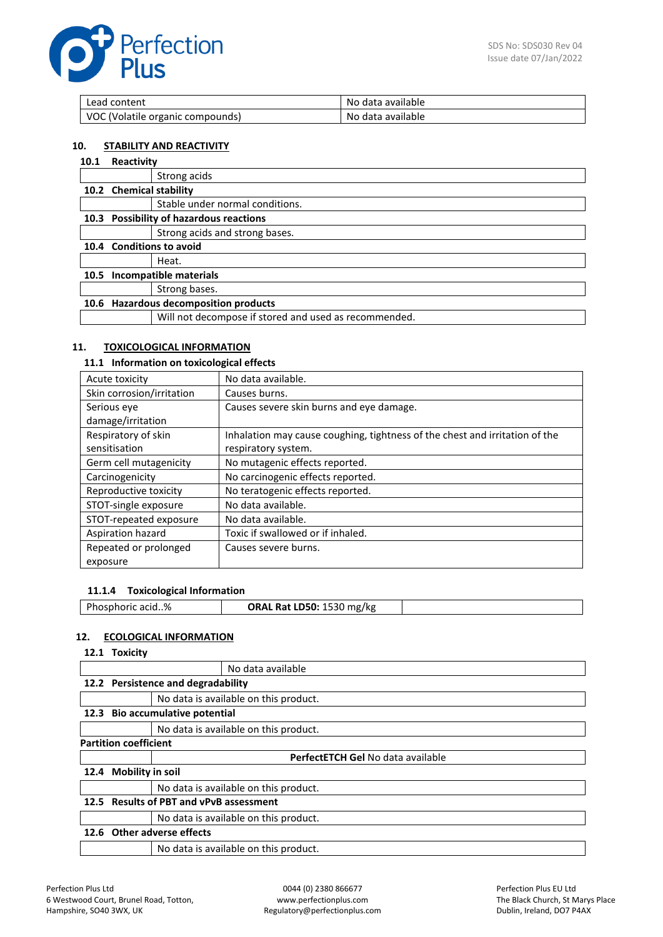

| Lead content                     | No data available |
|----------------------------------|-------------------|
| VOC (Volatile organic compounds) | No data available |

#### **10. STABILITY AND REACTIVITY**

### **10.1 Reactivity**

|      |                                       | Strong acids                                          |  |
|------|---------------------------------------|-------------------------------------------------------|--|
|      | 10.2 Chemical stability               |                                                       |  |
|      |                                       | Stable under normal conditions.                       |  |
|      |                                       | 10.3 Possibility of hazardous reactions               |  |
|      |                                       | Strong acids and strong bases.                        |  |
|      |                                       | 10.4 Conditions to avoid                              |  |
|      |                                       | Heat.                                                 |  |
| 10.5 |                                       | Incompatible materials                                |  |
|      |                                       | Strong bases.                                         |  |
|      | 10.6 Hazardous decomposition products |                                                       |  |
|      |                                       | Will not decompose if stored and used as recommended. |  |

### **11. TOXICOLOGICAL INFORMATION**

### **11.1 Information on toxicological effects**

| Acute toxicity            | No data available.                                                          |
|---------------------------|-----------------------------------------------------------------------------|
| Skin corrosion/irritation | Causes burns.                                                               |
| Serious eye               | Causes severe skin burns and eye damage.                                    |
| damage/irritation         |                                                                             |
| Respiratory of skin       | Inhalation may cause coughing, tightness of the chest and irritation of the |
| sensitisation             | respiratory system.                                                         |
| Germ cell mutagenicity    | No mutagenic effects reported.                                              |
| Carcinogenicity           | No carcinogenic effects reported.                                           |
| Reproductive toxicity     | No teratogenic effects reported.                                            |
| STOT-single exposure      | No data available.                                                          |
| STOT-repeated exposure    | No data available.                                                          |
| Aspiration hazard         | Toxic if swallowed or if inhaled.                                           |
| Repeated or prolonged     | Causes severe burns.                                                        |
| exposure                  |                                                                             |

### **11.1.4 Toxicological Information**

Phosphoric acid..% **ORAL Rat LD50:** 1530 mg/kg

### **12. ECOLOGICAL INFORMATION**

### **12.1 Toxicity**

|      |                                           | No data available                     |  |  |
|------|-------------------------------------------|---------------------------------------|--|--|
|      | 12.2 Persistence and degradability        |                                       |  |  |
|      |                                           | No data is available on this product. |  |  |
|      | <b>Bio accumulative potential</b><br>12.3 |                                       |  |  |
|      |                                           | No data is available on this product. |  |  |
|      | <b>Partition coefficient</b>              |                                       |  |  |
|      | <b>PerfectETCH Gel No data available</b>  |                                       |  |  |
|      | <b>Mobility in soil</b><br>12.4           |                                       |  |  |
|      |                                           | No data is available on this product. |  |  |
| 12.5 | <b>Results of PBT and vPvB assessment</b> |                                       |  |  |
|      |                                           | No data is available on this product. |  |  |
|      | 12.6 Other adverse effects                |                                       |  |  |
|      |                                           | No data is available on this product. |  |  |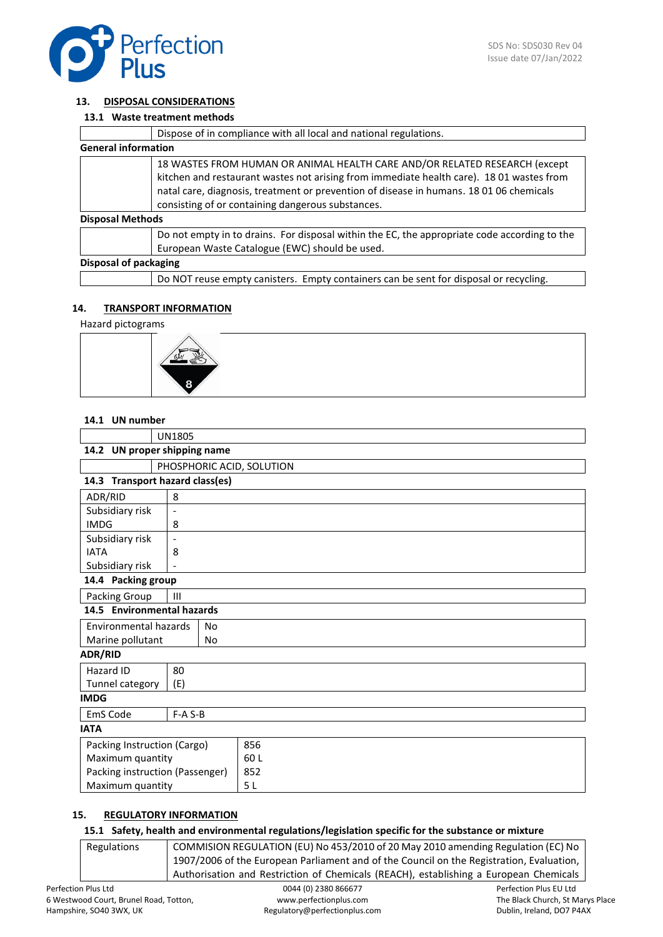

### **13. DISPOSAL CONSIDERATIONS**

### **13.1 Waste treatment methods**

|                            | Dispose of in compliance with all local and national regulations.                                                                                                                                                                                                                                                      |
|----------------------------|------------------------------------------------------------------------------------------------------------------------------------------------------------------------------------------------------------------------------------------------------------------------------------------------------------------------|
| <b>General information</b> |                                                                                                                                                                                                                                                                                                                        |
|                            | 18 WASTES FROM HUMAN OR ANIMAL HEALTH CARE AND/OR RELATED RESEARCH (except<br>kitchen and restaurant wastes not arising from immediate health care). 18 01 wastes from<br>natal care, diagnosis, treatment or prevention of disease in humans. 18 01 06 chemicals<br>consisting of or containing dangerous substances. |
| <b>Disposal Methods</b>    |                                                                                                                                                                                                                                                                                                                        |
|                            | Do not empty in to drains. For disposal within the EC, the appropriate code according to the<br>European Waste Catalogue (EWC) should be used.                                                                                                                                                                         |
| Disposal of packaging      |                                                                                                                                                                                                                                                                                                                        |
|                            | Do NOT reuse empty canisters. Empty containers can be sent for disposal or recycling.                                                                                                                                                                                                                                  |

### **14. TRANSPORT INFORMATION**

#### Hazard pictograms



#### **14.1 UN number**

|                                 | <b>UN1805</b>                   |  |     |
|---------------------------------|---------------------------------|--|-----|
|                                 | 14.2 UN proper shipping name    |  |     |
|                                 | PHOSPHORIC ACID, SOLUTION       |  |     |
|                                 | 14.3 Transport hazard class(es) |  |     |
| ADR/RID<br>8                    |                                 |  |     |
| Subsidiary risk                 | $\overline{\phantom{a}}$        |  |     |
| <b>IMDG</b>                     | 8                               |  |     |
| Subsidiary risk                 |                                 |  |     |
| <b>IATA</b>                     | 8                               |  |     |
| Subsidiary risk                 | $\qquad \qquad \blacksquare$    |  |     |
| 14.4 Packing group              |                                 |  |     |
| Packing Group<br>$\mathbf{III}$ |                                 |  |     |
| 14.5 Environmental hazards      |                                 |  |     |
|                                 | Environmental hazards<br>No     |  |     |
| Marine pollutant<br><b>No</b>   |                                 |  |     |
| <b>ADR/RID</b>                  |                                 |  |     |
| Hazard ID<br>80                 |                                 |  |     |
| Tunnel category<br>(E)          |                                 |  |     |
| <b>IMDG</b>                     |                                 |  |     |
| EmS Code                        | F-A S-B                         |  |     |
| <b>IATA</b>                     |                                 |  |     |
| Packing Instruction (Cargo)     |                                 |  | 856 |
| Maximum quantity                |                                 |  | 60L |
| Packing instruction (Passenger) |                                 |  | 852 |
| Maximum quantity                |                                 |  | 5L  |

### **15. REGULATORY INFORMATION**

### **15.1 Safety, health and environmental regulations/legislation specific for the substance or mixture**

Regulations COMMISION REGULATION (EU) No 453/2010 of 20 May 2010 amending Regulation (EC) No 1907/2006 of the European Parliament and of the Council on the Registration, Evaluation, Authorisation and Restriction of Chemicals (REACH), establishing a European Chemicals